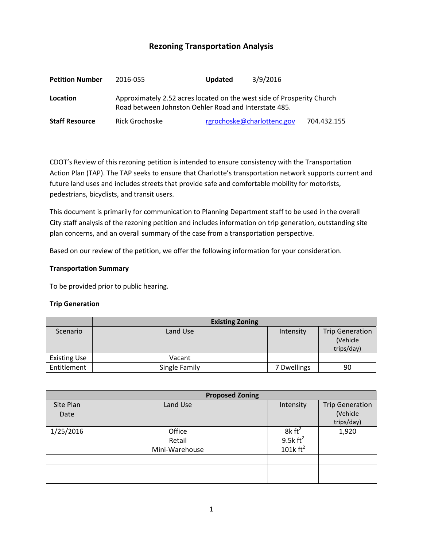# **Rezoning Transportation Analysis**

| <b>Petition Number</b> | 2016-055                                                                                                                        | <b>Updated</b> | 3/9/2016                   |             |  |
|------------------------|---------------------------------------------------------------------------------------------------------------------------------|----------------|----------------------------|-------------|--|
| Location               | Approximately 2.52 acres located on the west side of Prosperity Church<br>Road between Johnston Oehler Road and Interstate 485. |                |                            |             |  |
| <b>Staff Resource</b>  | Rick Grochoske                                                                                                                  |                | rgrochoske@charlottenc.gov | 704.432.155 |  |

CDOT's Review of this rezoning petition is intended to ensure consistency with the Transportation Action Plan (TAP). The TAP seeks to ensure that Charlotte's transportation network supports current and future land uses and includes streets that provide safe and comfortable mobility for motorists, pedestrians, bicyclists, and transit users.

This document is primarily for communication to Planning Department staff to be used in the overall City staff analysis of the rezoning petition and includes information on trip generation, outstanding site plan concerns, and an overall summary of the case from a transportation perspective.

Based on our review of the petition, we offer the following information for your consideration.

### **Transportation Summary**

To be provided prior to public hearing.

# **Trip Generation**

|                     | <b>Existing Zoning</b> |             |                                                  |
|---------------------|------------------------|-------------|--------------------------------------------------|
| Scenario            | Land Use               | Intensity   | <b>Trip Generation</b><br>(Vehicle<br>trips/day) |
| <b>Existing Use</b> | Vacant                 |             |                                                  |
| Entitlement         | Single Family          | 7 Dwellings | 90                                               |

|           | <b>Proposed Zoning</b> |                            |                        |  |
|-----------|------------------------|----------------------------|------------------------|--|
| Site Plan | Land Use               | Intensity                  | <b>Trip Generation</b> |  |
| Date      |                        |                            | (Vehicle               |  |
|           |                        |                            | trips/day)             |  |
| 1/25/2016 | Office                 | $8k \text{ ft}^2$          | 1,920                  |  |
|           | Retail                 | 9.5k $ft^2$<br>101k $ft^2$ |                        |  |
|           | Mini-Warehouse         |                            |                        |  |
|           |                        |                            |                        |  |
|           |                        |                            |                        |  |
|           |                        |                            |                        |  |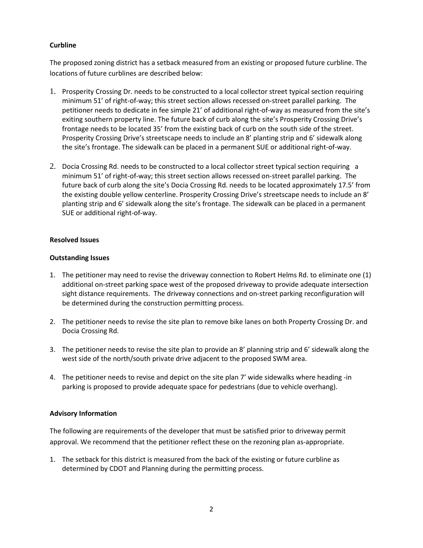# **Curbline**

The proposed zoning district has a setback measured from an existing or proposed future curbline. The locations of future curblines are described below:

- 1. Prosperity Crossing Dr. needs to be constructed to a local collector street typical section requiring minimum 51' of right-of-way; this street section allows recessed on-street parallel parking. The petitioner needs to dedicate in fee simple 21' of additional right-of-way as measured from the site's exiting southern property line. The future back of curb along the site's Prosperity Crossing Drive's frontage needs to be located 35' from the existing back of curb on the south side of the street. Prosperity Crossing Drive's streetscape needs to include an 8' planting strip and 6' sidewalk along the site's frontage. The sidewalk can be placed in a permanent SUE or additional right-of-way.
- 2. Docia Crossing Rd. needs to be constructed to a local collector street typical section requiring a minimum 51' of right-of-way; this street section allows recessed on-street parallel parking. The future back of curb along the site's Docia Crossing Rd. needs to be located approximately 17.5' from the existing double yellow centerline. Prosperity Crossing Drive's streetscape needs to include an 8' planting strip and 6' sidewalk along the site's frontage. The sidewalk can be placed in a permanent SUE or additional right-of-way.

# **Resolved Issues**

### **Outstanding Issues**

- 1. The petitioner may need to revise the driveway connection to Robert Helms Rd. to eliminate one (1) additional on-street parking space west of the proposed driveway to provide adequate intersection sight distance requirements. The driveway connections and on-street parking reconfiguration will be determined during the construction permitting process.
- 2. The petitioner needs to revise the site plan to remove bike lanes on both Property Crossing Dr. and Docia Crossing Rd.
- 3. The petitioner needs to revise the site plan to provide an 8' planning strip and 6' sidewalk along the west side of the north/south private drive adjacent to the proposed SWM area.
- 4. The petitioner needs to revise and depict on the site plan 7' wide sidewalks where heading -in parking is proposed to provide adequate space for pedestrians (due to vehicle overhang).

# **Advisory Information**

The following are requirements of the developer that must be satisfied prior to driveway permit approval. We recommend that the petitioner reflect these on the rezoning plan as-appropriate.

1. The setback for this district is measured from the back of the existing or future curbline as determined by CDOT and Planning during the permitting process.